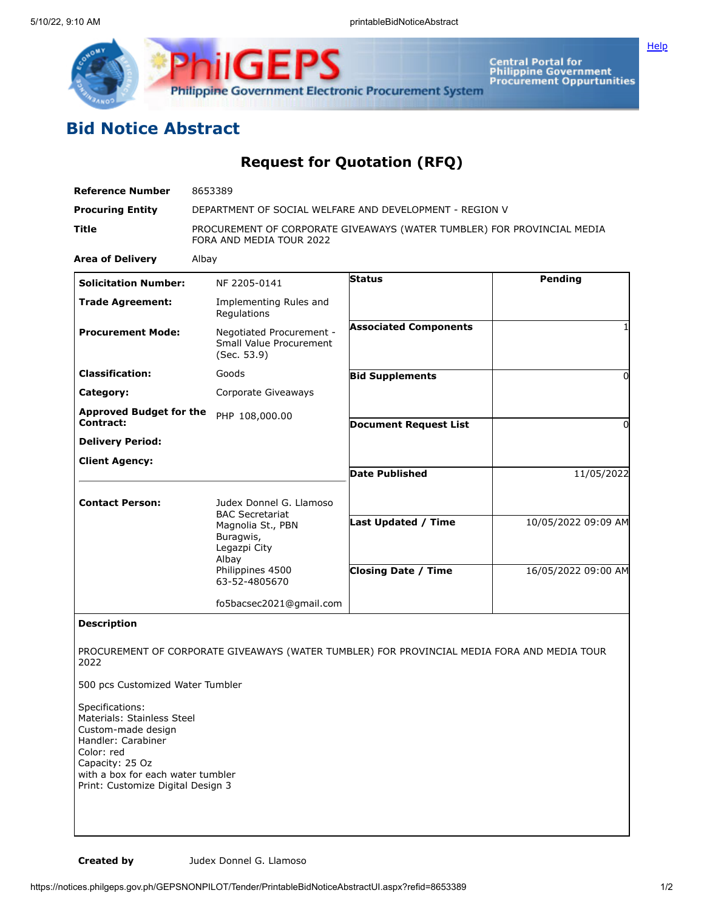

**Central Portal for<br>Philippine Government<br>Procurement Oppurtunities** 

## **Bid Notice Abstract**

**Request for Quotation (RFQ)**

| <b>Reference Number</b>                                                                                                                                                                              | 8653389                                                                                             |                              |                     |
|------------------------------------------------------------------------------------------------------------------------------------------------------------------------------------------------------|-----------------------------------------------------------------------------------------------------|------------------------------|---------------------|
| <b>Procuring Entity</b>                                                                                                                                                                              | DEPARTMENT OF SOCIAL WELFARE AND DEVELOPMENT - REGION V                                             |                              |                     |
| Title                                                                                                                                                                                                | PROCUREMENT OF CORPORATE GIVEAWAYS (WATER TUMBLER) FOR PROVINCIAL MEDIA<br>FORA AND MEDIA TOUR 2022 |                              |                     |
| <b>Area of Delivery</b>                                                                                                                                                                              | Albay                                                                                               |                              |                     |
| <b>Solicitation Number:</b>                                                                                                                                                                          | NF 2205-0141                                                                                        | <b>Status</b>                | Pending             |
| <b>Trade Agreement:</b>                                                                                                                                                                              | Implementing Rules and<br>Regulations                                                               |                              |                     |
| <b>Procurement Mode:</b>                                                                                                                                                                             | Negotiated Procurement -<br>Small Value Procurement<br>(Sec. 53.9)                                  | <b>Associated Components</b> |                     |
| <b>Classification:</b>                                                                                                                                                                               | Goods                                                                                               | <b>Bid Supplements</b>       | 0                   |
| Category:                                                                                                                                                                                            | Corporate Giveaways                                                                                 |                              |                     |
| <b>Approved Budget for the</b><br>Contract:                                                                                                                                                          | PHP 108,000.00                                                                                      | <b>Document Request List</b> | 0                   |
| <b>Delivery Period:</b>                                                                                                                                                                              |                                                                                                     |                              |                     |
| <b>Client Agency:</b>                                                                                                                                                                                |                                                                                                     |                              |                     |
|                                                                                                                                                                                                      |                                                                                                     | <b>Date Published</b>        | 11/05/2022          |
| <b>Contact Person:</b>                                                                                                                                                                               | Judex Donnel G. Llamoso                                                                             |                              |                     |
|                                                                                                                                                                                                      | <b>BAC Secretariat</b><br>Magnolia St., PBN<br>Buragwis,<br>Legazpi City<br>Albay                   | <b>Last Updated / Time</b>   | 10/05/2022 09:09 AM |
|                                                                                                                                                                                                      | Philippines 4500<br>63-52-4805670                                                                   | <b>Closing Date / Time</b>   | 16/05/2022 09:00 AM |
|                                                                                                                                                                                                      | fo5bacsec2021@gmail.com                                                                             |                              |                     |
| <b>Description</b>                                                                                                                                                                                   |                                                                                                     |                              |                     |
| PROCUREMENT OF CORPORATE GIVEAWAYS (WATER TUMBLER) FOR PROVINCIAL MEDIA FORA AND MEDIA TOUR<br>2022                                                                                                  |                                                                                                     |                              |                     |
| 500 pcs Customized Water Tumbler                                                                                                                                                                     |                                                                                                     |                              |                     |
| Specifications:<br>Materials: Stainless Steel<br>Custom-made design<br>Handler: Carabiner<br>Color: red<br>Capacity: 25 Oz<br>with a box for each water tumbler<br>Print: Customize Digital Design 3 |                                                                                                     |                              |                     |